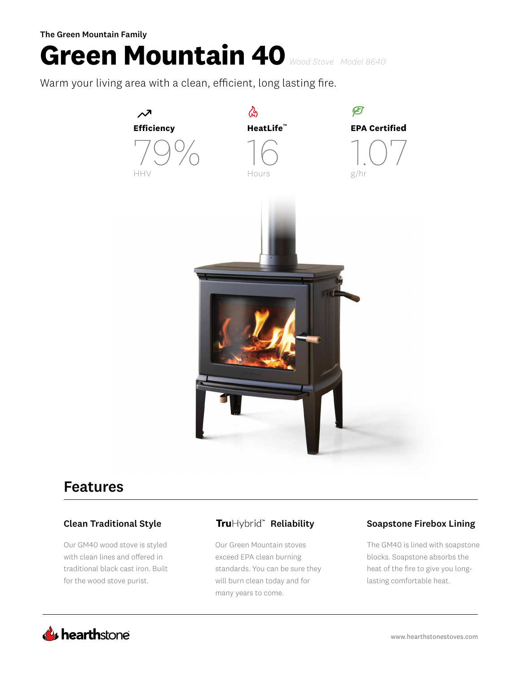The Green Mountain Family

# **Green Mountain 40** *Wood Stove Model 8640*

Warm your living area with a clean, efficient, long lasting fire.



# Features

Our GM40 wood stove is styled with clean lines and offered in traditional black cast iron. Built for the wood stove purist.

Our Green Mountain stoves exceed EPA clean burning standards. You can be sure they will burn clean today and for many years to come.

## Clean Traditional Style **Tru**Hybrid" Reliability Soapstone Firebox Lining

The GM40 is lined with soapstone blocks. Soapstone absorbs the heat of the fire to give you longlasting comfortable heat.